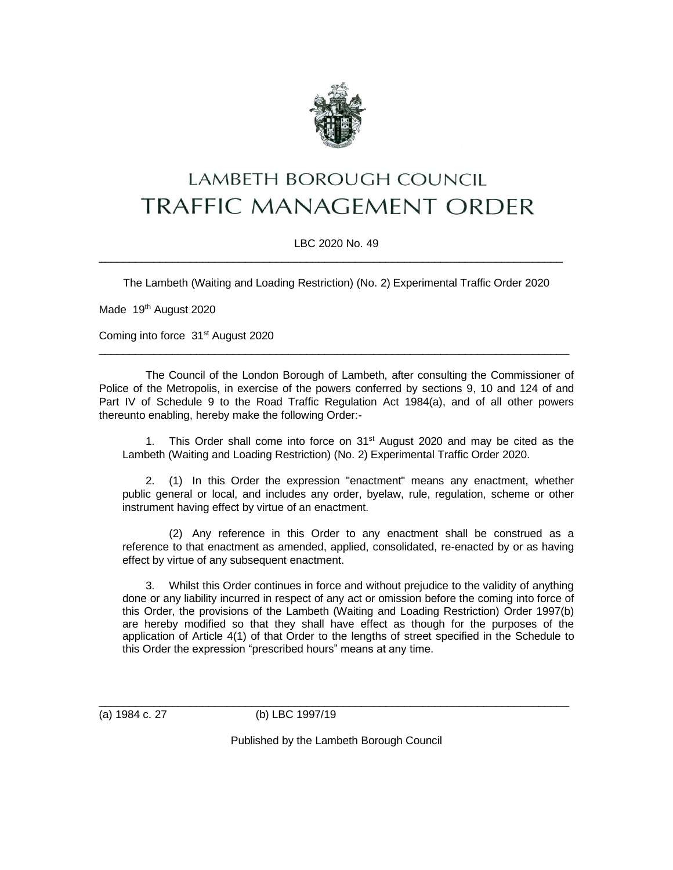

## LAMBETH BOROUGH COUNCIL **TRAFFIC MANAGEMENT ORDER**

LBC 2020 No. 49 \_\_\_\_\_\_\_\_\_\_\_\_\_\_\_\_\_\_\_\_\_\_\_\_\_\_\_\_\_\_\_\_\_\_\_\_\_\_\_\_\_\_\_\_\_\_\_\_\_\_\_\_\_\_\_\_\_\_\_\_\_\_\_\_\_\_\_\_\_\_\_\_\_\_\_\_

The Lambeth (Waiting and Loading Restriction) (No. 2) Experimental Traffic Order 2020

Made 19<sup>th</sup> August 2020

Coming into force 31<sup>st</sup> August 2020

The Council of the London Borough of Lambeth, after consulting the Commissioner of Police of the Metropolis, in exercise of the powers conferred by sections 9, 10 and 124 of and Part IV of Schedule 9 to the Road Traffic Regulation Act 1984(a), and of all other powers thereunto enabling, hereby make the following Order:-

\_\_\_\_\_\_\_\_\_\_\_\_\_\_\_\_\_\_\_\_\_\_\_\_\_\_\_\_\_\_\_\_\_\_\_\_\_\_\_\_\_\_\_\_\_\_\_\_\_\_\_\_\_\_\_\_\_\_\_\_\_\_\_\_\_\_\_\_\_\_\_\_\_\_\_\_\_

1. This Order shall come into force on  $31<sup>st</sup>$  August 2020 and may be cited as the Lambeth (Waiting and Loading Restriction) (No. 2) Experimental Traffic Order 2020.

2. (1) In this Order the expression "enactment" means any enactment, whether public general or local, and includes any order, byelaw, rule, regulation, scheme or other instrument having effect by virtue of an enactment.

(2) Any reference in this Order to any enactment shall be construed as a reference to that enactment as amended, applied, consolidated, re-enacted by or as having effect by virtue of any subsequent enactment.

3. Whilst this Order continues in force and without prejudice to the validity of anything done or any liability incurred in respect of any act or omission before the coming into force of this Order, the provisions of the Lambeth (Waiting and Loading Restriction) Order 1997(b) are hereby modified so that they shall have effect as though for the purposes of the application of Article 4(1) of that Order to the lengths of street specified in the Schedule to this Order the expression "prescribed hours" means at any time.

(a) 1984 c. 27 (b) LBC 1997/19

Published by the Lambeth Borough Council

\_\_\_\_\_\_\_\_\_\_\_\_\_\_\_\_\_\_\_\_\_\_\_\_\_\_\_\_\_\_\_\_\_\_\_\_\_\_\_\_\_\_\_\_\_\_\_\_\_\_\_\_\_\_\_\_\_\_\_\_\_\_\_\_\_\_\_\_\_\_\_\_\_\_\_\_\_